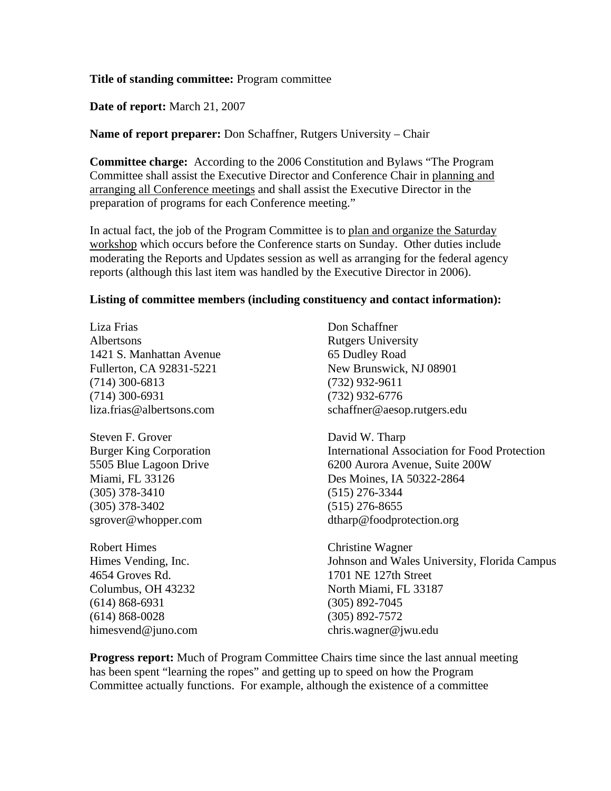#### **Title of standing committee:** Program committee

**Date of report:** March 21, 2007

**Name of report preparer:** Don Schaffner, Rutgers University – Chair

**Committee charge:** According to the 2006 Constitution and Bylaws "The Program Committee shall assist the Executive Director and Conference Chair in planning and arranging all Conference meetings and shall assist the Executive Director in the preparation of programs for each Conference meeting."

In actual fact, the job of the Program Committee is to plan and organize the Saturday workshop which occurs before the Conference starts on Sunday. Other duties include moderating the Reports and Updates session as well as arranging for the federal agency reports (although this last item was handled by the Executive Director in 2006).

#### **Listing of committee members (including constituency and contact information):**

Liza Frias Albertsons 1421 S. Manhattan Avenue Fullerton, CA 92831-5221 (714) 300-6813 (714) 300-6931 liza.frias@albertsons.com

Steven F. Grover Burger King Corporation 5505 Blue Lagoon Drive Miami, FL 33126 (305) 378-3410 (305) 378-3402 sgrover@whopper.com

Robert Himes Himes Vending, Inc. 4654 Groves Rd. Columbus, OH 43232 (614) 868-6931 (614) 868-0028 himesvend@juno.com

Don Schaffner Rutgers University 65 Dudley Road New Brunswick, NJ 08901 (732) 932-9611 (732) 932-6776 schaffner@aesop.rutgers.edu

David W. Tharp International Association for Food Protection 6200 Aurora Avenue, Suite 200W Des Moines, IA 50322-2864 (515) 276-3344 (515) 276-8655 dtharp@foodprotection.org

Christine Wagner Johnson and Wales University, Florida Campus 1701 NE 127th Street North Miami, FL 33187 (305) 892-7045 (305) 892-7572 chris.wagner@jwu.edu

**Progress report:** Much of Program Committee Chairs time since the last annual meeting has been spent "learning the ropes" and getting up to speed on how the Program Committee actually functions. For example, although the existence of a committee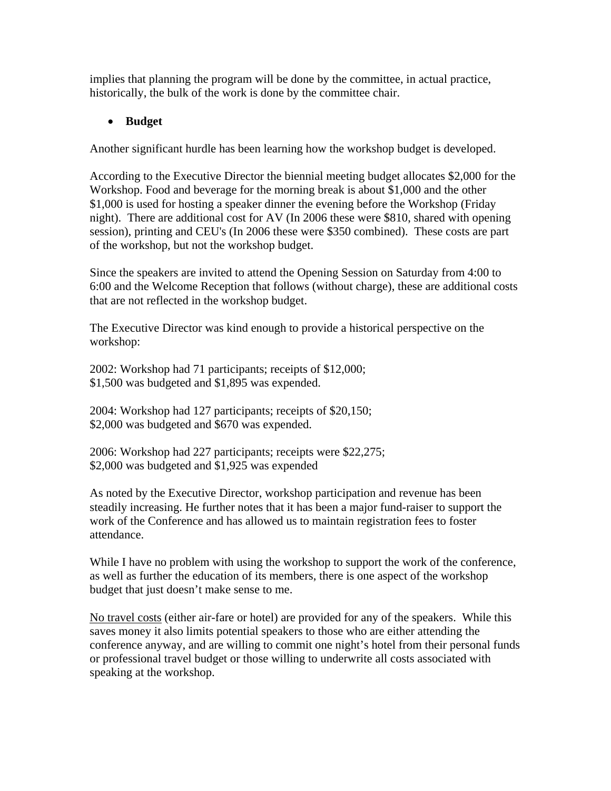implies that planning the program will be done by the committee, in actual practice, historically, the bulk of the work is done by the committee chair.

## • **Budget**

Another significant hurdle has been learning how the workshop budget is developed.

According to the Executive Director the biennial meeting budget allocates \$2,000 for the Workshop. Food and beverage for the morning break is about \$1,000 and the other \$1,000 is used for hosting a speaker dinner the evening before the Workshop (Friday night). There are additional cost for AV (In 2006 these were \$810, shared with opening session), printing and CEU's (In 2006 these were \$350 combined). These costs are part of the workshop, but not the workshop budget.

Since the speakers are invited to attend the Opening Session on Saturday from 4:00 to 6:00 and the Welcome Reception that follows (without charge), these are additional costs that are not reflected in the workshop budget.

The Executive Director was kind enough to provide a historical perspective on the workshop:

2002: Workshop had 71 participants; receipts of \$12,000; \$1,500 was budgeted and \$1,895 was expended.

2004: Workshop had 127 participants; receipts of \$20,150; \$2,000 was budgeted and \$670 was expended.

2006: Workshop had 227 participants; receipts were \$22,275; \$2,000 was budgeted and \$1,925 was expended

As noted by the Executive Director, workshop participation and revenue has been steadily increasing. He further notes that it has been a major fund-raiser to support the work of the Conference and has allowed us to maintain registration fees to foster attendance.

While I have no problem with using the workshop to support the work of the conference, as well as further the education of its members, there is one aspect of the workshop budget that just doesn't make sense to me.

No travel costs (either air-fare or hotel) are provided for any of the speakers. While this saves money it also limits potential speakers to those who are either attending the conference anyway, and are willing to commit one night's hotel from their personal funds or professional travel budget or those willing to underwrite all costs associated with speaking at the workshop.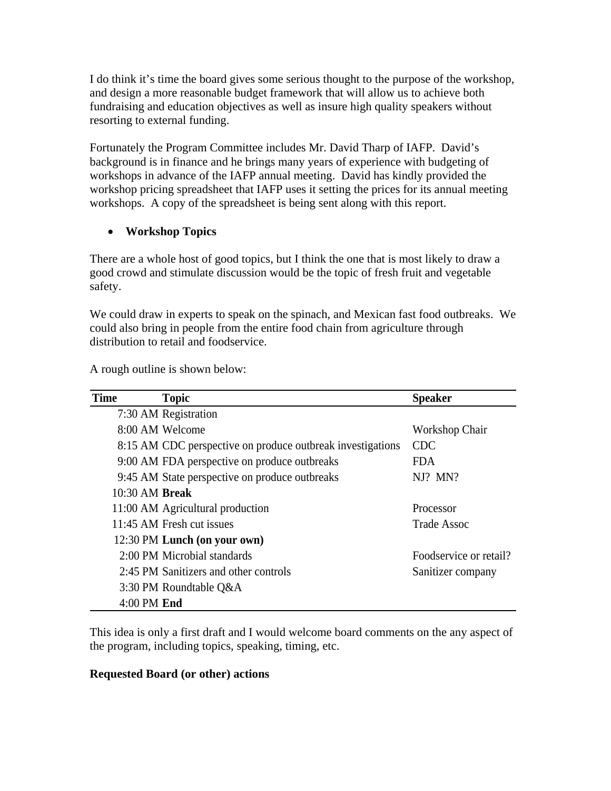I do think it's time the board gives some serious thought to the purpose of the workshop, and design a more reasonable budget framework that will allow us to achieve both fundraising and education objectives as well as insure high quality speakers without resorting to external funding.

Fortunately the Program Committee includes Mr. David Tharp of IAFP. David's background is in finance and he brings many years of experience with budgeting of workshops in advance of the IAFP annual meeting. David has kindly provided the workshop pricing spreadsheet that IAFP uses it setting the prices for its annual meeting workshops. A copy of the spreadsheet is being sent along with this report.

# • **Workshop Topics**

There are a whole host of good topics, but I think the one that is most likely to draw a good crowd and stimulate discussion would be the topic of fresh fruit and vegetable safety.

We could draw in experts to speak on the spinach, and Mexican fast food outbreaks. We could also bring in people from the entire food chain from agriculture through distribution to retail and foodservice.

| <b>Time</b>      | <b>Topic</b>                                               | <b>Speaker</b>         |
|------------------|------------------------------------------------------------|------------------------|
|                  | 7:30 AM Registration                                       |                        |
|                  | 8:00 AM Welcome                                            | Workshop Chair         |
|                  | 8:15 AM CDC perspective on produce outbreak investigations | CDC.                   |
|                  | 9:00 AM FDA perspective on produce outbreaks               | FDA.                   |
|                  | 9:45 AM State perspective on produce outbreaks             | $NI?$ MN?              |
| $10:30$ AM Break |                                                            |                        |
|                  | 11:00 AM Agricultural production                           | Processor              |
|                  | 11:45 AM Fresh cut issues                                  | Trade Assoc            |
|                  | 12:30 PM Lunch (on your own)                               |                        |
|                  | 2:00 PM Microbial standards                                | Foodservice or retail? |
|                  | 2:45 PM Sanitizers and other controls                      | Sanitizer company      |
|                  | 3:30 PM Roundtable Q&A                                     |                        |
| $4:00$ PM End    |                                                            |                        |

A rough outline is shown below:

This idea is only a first draft and I would welcome board comments on the any aspect of the program, including topics, speaking, timing, etc.

### **Requested Board (or other) actions**